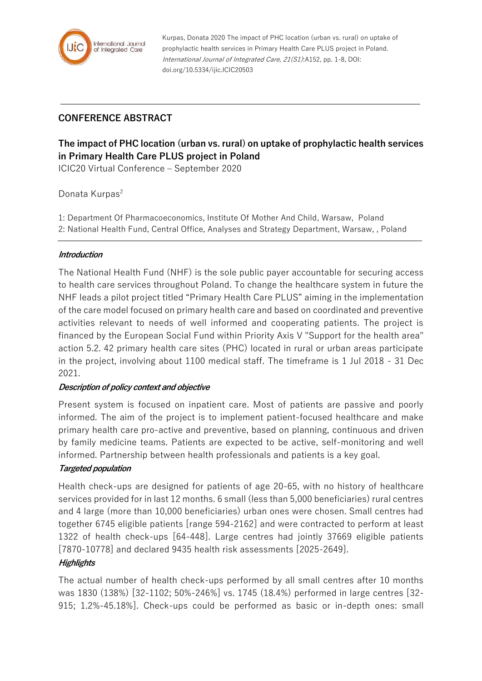

Kurpas, Donata 2020 The impact of PHC location (urban vs. rural) on uptake of prophylactic health services in Primary Health Care PLUS project in Poland. International Journal of Integrated Care, 21(S1):A152, pp. 1-8, DOI: doi.org/10.5334/ijic.ICIC20503

## **CONFERENCE ABSTRACT**

# **The impact of PHC location (urban vs. rural) on uptake of prophylactic health services in Primary Health Care PLUS project in Poland**

ICIC20 Virtual Conference – September 2020

#### Donata Kurpas<sup>2</sup>

1: Department Of Pharmacoeconomics, Institute Of Mother And Child, Warsaw, Poland 2: National Health Fund, Central Office, Analyses and Strategy Department, Warsaw, , Poland

#### **Introduction**

The National Health Fund (NHF) is the sole public payer accountable for securing access to health care services throughout Poland. To change the healthcare system in future the NHF leads a pilot project titled "Primary Health Care PLUS" aiming in the implementation of the care model focused on primary health care and based on coordinated and preventive activities relevant to needs of well informed and cooperating patients. The project is financed by the European Social Fund within Priority Axis V "Support for the health area" action 5.2. 42 primary health care sites (PHC) located in rural or urban areas participate in the project, involving about 1100 medical staff. The timeframe is 1 Jul 2018 - 31 Dec 2021.

#### **Description of policy context and objective**

Present system is focused on inpatient care. Most of patients are passive and poorly informed. The aim of the project is to implement patient-focused healthcare and make primary health care pro-active and preventive, based on planning, continuous and driven by family medicine teams. Patients are expected to be active, self-monitoring and well informed. Partnership between health professionals and patients is a key goal.

## **Targeted population**

Health check-ups are designed for patients of age 20-65, with no history of healthcare services provided for in last 12 months. 6 small (less than 5,000 beneficiaries) rural centres and 4 large (more than 10,000 beneficiaries) urban ones were chosen. Small centres had together 6745 eligible patients [range 594-2162] and were contracted to perform at least 1322 of health check-ups [64-448]. Large centres had jointly 37669 eligible patients [7870-10778] and declared 9435 health risk assessments [2025-2649].

## **Highlights**

The actual number of health check-ups performed by all small centres after 10 months was 1830 (138%) [32-1102; 50%-246%] vs. 1745 (18.4%) performed in large centres [32- 915; 1.2%-45.18%]. Check-ups could be performed as basic or in-depth ones: small